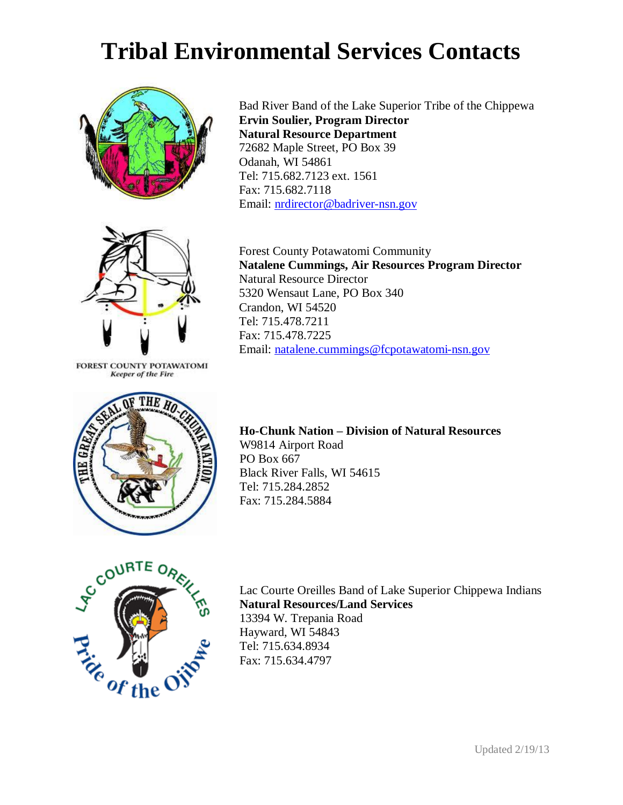## **Tribal Environmental Services Contacts**



Bad River Band of the Lake Superior Tribe of the Chippewa **Ervin Soulier, Program Director Natural Resource Department**  72682 Maple Street, PO Box 39 Odanah, WI 54861 Tel: 715.682.7123 ext. 1561 Fax: 715.682.7118 Email: [nrdirector@badriver-nsn.gov](mailto:nrdirector@badriver-nsn.gov)



FOREST COUNTY POTAWATOMI **Keeper of the Fire** 



Forest County Potawatomi Community **Natalene Cummings, Air Resources Program Director** Natural Resource Director 5320 Wensaut Lane, PO Box 340 Crandon, WI 54520 Tel: 715.478.7211 Fax: 715.478.7225 Email: [natalene.cummings@fcpotawatomi-nsn.gov](mailto:natalene.cummings@fcpotawatomi-nsn.gov)

**Ho-Chunk Nation – Division of Natural Resources**  W9814 Airport Road PO Box 667 Black River Falls, WI 54615 Tel: 715.284.2852 Fax: 715.284.5884



Lac Courte Oreilles Band of Lake Superior Chippewa Indians **Natural Resources/Land Services** 13394 W. Trepania Road Hayward, WI 54843 Tel: 715.634.8934 Fax: 715.634.4797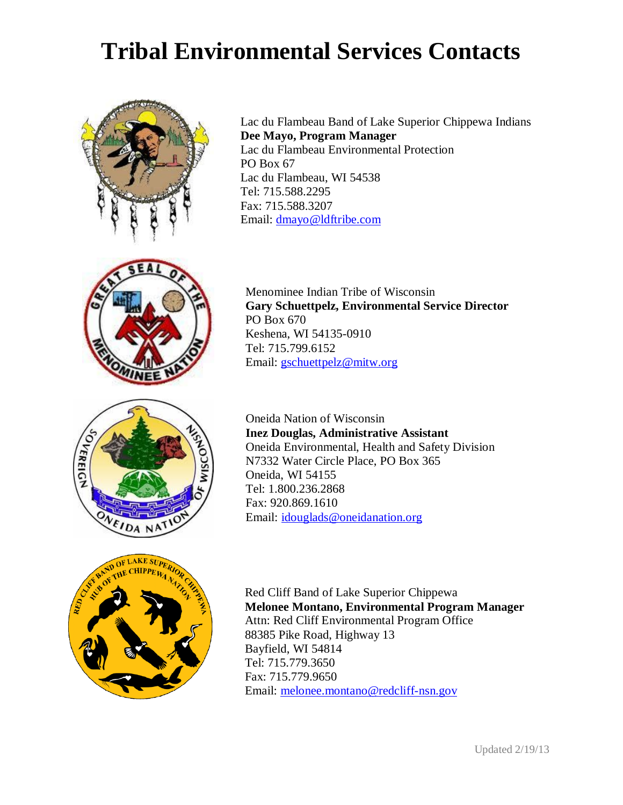## **Tribal Environmental Services Contacts**





Lac du Flambeau Band of Lake Superior Chippewa Indians **Dee Mayo, Program Manager** Lac du Flambeau Environmental Protection PO Box 67 Lac du Flambeau, WI 54538 Tel: 715.588.2295 Fax: 715.588.3207 Email: [dmayo@ldftribe.com](mailto:dmayo@ldftribe.com)

Menominee Indian Tribe of Wisconsin **Gary Schuettpelz, Environmental Service Director**  PO Box 670 Keshena, WI 54135-0910 Tel: 715.799.6152 Email: [gschuettpelz@mitw.org](mailto:gschuettpelz@mitw.org)

Oneida Nation of Wisconsin **Inez Douglas, Administrative Assistant** Oneida Environmental, Health and Safety Division N7332 Water Circle Place, PO Box 365 Oneida, WI 54155 Tel: 1.800.236.2868 Fax: 920.869.1610 Email: [idouglads@oneidanation.org](mailto:idouglads@oneidanation.org)



Red Cliff Band of Lake Superior Chippewa **Melonee Montano, Environmental Program Manager** Attn: Red Cliff Environmental Program Office 88385 Pike Road, Highway 13 Bayfield, WI 54814 Tel: 715.779.3650 Fax: 715.779.9650 Email: [melonee.montano@redcliff-nsn.gov](mailto:melonee.montano@redcliff-nsn.gov)